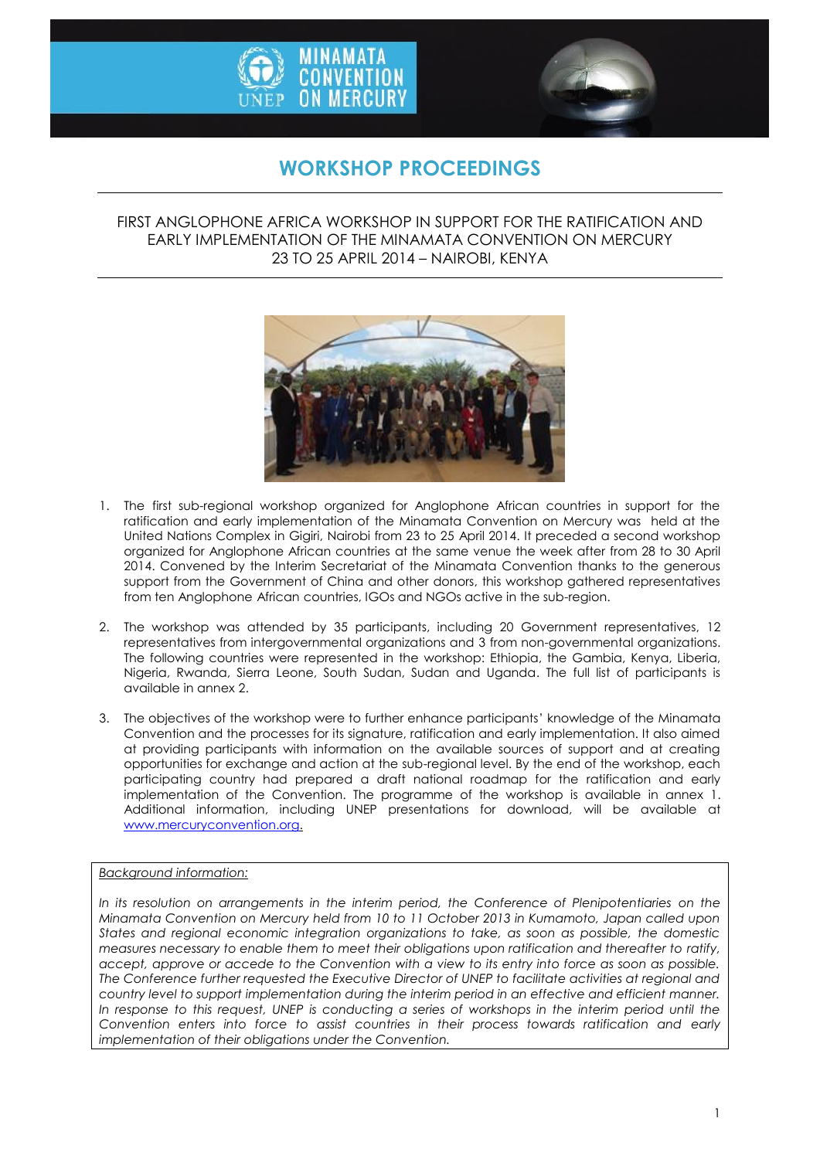



# **WORKSHOP PROCEEDINGS**

### FIRST ANGLOPHONE AFRICA WORKSHOP IN SUPPORT FOR THE RATIFICATION AND EARLY IMPLEMENTATION OF THE MINAMATA CONVENTION ON MERCURY 23 TO 25 APRIL 2014 – NAIROBI, KENYA



- 1. The first sub-regional workshop organized for Anglophone African countries in support for the ratification and early implementation of the Minamata Convention on Mercury was held at the United Nations Complex in Gigiri, Nairobi from 23 to 25 April 2014. It preceded a second workshop organized for Anglophone African countries at the same venue the week after from 28 to 30 April 2014. Convened by the Interim Secretariat of the Minamata Convention thanks to the generous support from the Government of China and other donors, this workshop gathered representatives from ten Anglophone African countries, IGOs and NGOs active in the sub-region.
- 2. The workshop was attended by 35 participants, including 20 Government representatives, 12 representatives from intergovernmental organizations and 3 from non-governmental organizations. The following countries were represented in the workshop: Ethiopia, the Gambia, Kenya, Liberia, Nigeria, Rwanda, Sierra Leone, South Sudan, Sudan and Uganda. The full list of participants is available in annex 2.
- 3. The objectives of the workshop were to further enhance participants' knowledge of the Minamata Convention and the processes for its signature, ratification and early implementation. It also aimed at providing participants with information on the available sources of support and at creating opportunities for exchange and action at the sub-regional level. By the end of the workshop, each participating country had prepared a draft national roadmap for the ratification and early implementation of the Convention. The programme of the workshop is available in annex 1. Additional information, including UNEP presentations for download, will be available at [www.mercuryconvention.org.](http://www.mercuryconvention.org/)

#### *Background information:*

*In its resolution on arrangements in the interim period, the Conference of Plenipotentiaries on the Minamata Convention on Mercury held from 10 to 11 October 2013 in Kumamoto, Japan called upon States and regional economic integration organizations to take, as soon as possible, the domestic measures necessary to enable them to meet their obligations upon ratification and thereafter to ratify, accept, approve or accede to the Convention with a view to its entry into force as soon as possible. The Conference further requested the Executive Director of UNEP to facilitate activities at regional and country level to support implementation during the interim period in an effective and efficient manner. In response to this request, UNEP is conducting a series of workshops in the interim period until the Convention enters into force to assist countries in their process towards ratification and early implementation of their obligations under the Convention.*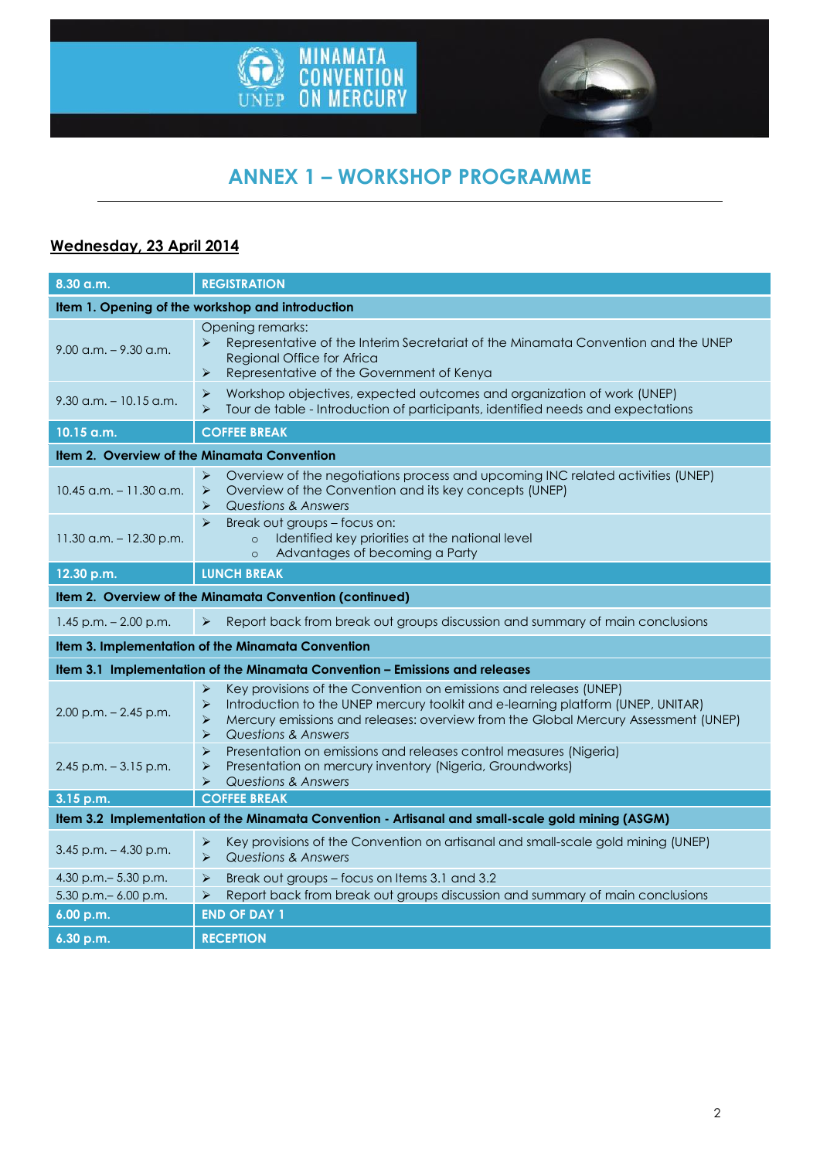



# **ANNEX 1 – WORKSHOP PROGRAMME**

# **Wednesday, 23 April 2014**

| 8.30 a.m.                                                                                         | <b>REGISTRATION</b>                                                                                                                                                                                                                                                                                                  |  |
|---------------------------------------------------------------------------------------------------|----------------------------------------------------------------------------------------------------------------------------------------------------------------------------------------------------------------------------------------------------------------------------------------------------------------------|--|
| Item 1. Opening of the workshop and introduction                                                  |                                                                                                                                                                                                                                                                                                                      |  |
| $9.00$ a.m. $-9.30$ a.m.                                                                          | Opening remarks:<br>Representative of the Interim Secretariat of the Minamata Convention and the UNEP<br>⋗<br>Regional Office for Africa<br>Representative of the Government of Kenya<br>➤                                                                                                                           |  |
| $9.30$ a.m. $-10.15$ a.m.                                                                         | Workshop objectives, expected outcomes and organization of work (UNEP)<br>➤<br>Tour de table - Introduction of participants, identified needs and expectations<br>➤                                                                                                                                                  |  |
| 10.15 a.m.                                                                                        | <b>COFFEE BREAK</b>                                                                                                                                                                                                                                                                                                  |  |
| Item 2. Overview of the Minamata Convention                                                       |                                                                                                                                                                                                                                                                                                                      |  |
| $10.45$ a.m. $-11.30$ a.m.                                                                        | $\blacktriangleright$<br>Overview of the negotiations process and upcoming INC related activities (UNEP)<br>Overview of the Convention and its key concepts (UNEP)<br>➤<br>Questions & Answers<br>$\blacktriangleright$                                                                                              |  |
| $11.30$ a.m. $-12.30$ p.m.                                                                        | $\blacktriangleright$<br>Break out groups - focus on:<br>Identified key priorities at the national level<br>$\circ$<br>Advantages of becoming a Party<br>$\circ$                                                                                                                                                     |  |
| 12.30 p.m.                                                                                        | <b>LUNCH BREAK</b>                                                                                                                                                                                                                                                                                                   |  |
| Item 2. Overview of the Minamata Convention (continued)                                           |                                                                                                                                                                                                                                                                                                                      |  |
| $1.45$ p.m. $- 2.00$ p.m.                                                                         | Report back from break out groups discussion and summary of main conclusions<br>$\blacktriangleright$                                                                                                                                                                                                                |  |
| Item 3. Implementation of the Minamata Convention                                                 |                                                                                                                                                                                                                                                                                                                      |  |
| Item 3.1 Implementation of the Minamata Convention - Emissions and releases                       |                                                                                                                                                                                                                                                                                                                      |  |
| $2.00$ p.m. $- 2.45$ p.m.                                                                         | Key provisions of the Convention on emissions and releases (UNEP)<br>➤<br>Introduction to the UNEP mercury toolkit and e-learning platform (UNEP, UNITAR)<br>➤<br>Mercury emissions and releases: overview from the Global Mercury Assessment (UNEP)<br>$\blacktriangleright$<br><b>Questions &amp; Answers</b><br>➤ |  |
| $2.45$ p.m. $-3.15$ p.m.                                                                          | Presentation on emissions and releases control measures (Nigeria)<br>$\blacktriangleright$<br>Presentation on mercury inventory (Nigeria, Groundworks)<br>➤<br><b>Questions &amp; Answers</b><br>$\blacktriangleright$                                                                                               |  |
| 3.15 p.m.                                                                                         | <b>COFFEE BREAK</b>                                                                                                                                                                                                                                                                                                  |  |
| Item 3.2 Implementation of the Minamata Convention - Artisanal and small-scale gold mining (ASGM) |                                                                                                                                                                                                                                                                                                                      |  |
| $3.45$ p.m. $- 4.30$ p.m.                                                                         | Key provisions of the Convention on artisanal and small-scale gold mining (UNEP)<br>➤<br>$\blacktriangleright$<br><b>Questions &amp; Answers</b>                                                                                                                                                                     |  |
| 4.30 p.m. - 5.30 p.m.                                                                             | $\blacktriangleright$<br>Break out groups - focus on Items 3.1 and 3.2                                                                                                                                                                                                                                               |  |
| 5.30 p.m. - 6.00 p.m.                                                                             | Report back from break out groups discussion and summary of main conclusions<br>$\blacktriangleright$                                                                                                                                                                                                                |  |
| 6.00 p.m.                                                                                         | <b>END OF DAY 1</b>                                                                                                                                                                                                                                                                                                  |  |
| 6.30 p.m.                                                                                         | <b>RECEPTION</b>                                                                                                                                                                                                                                                                                                     |  |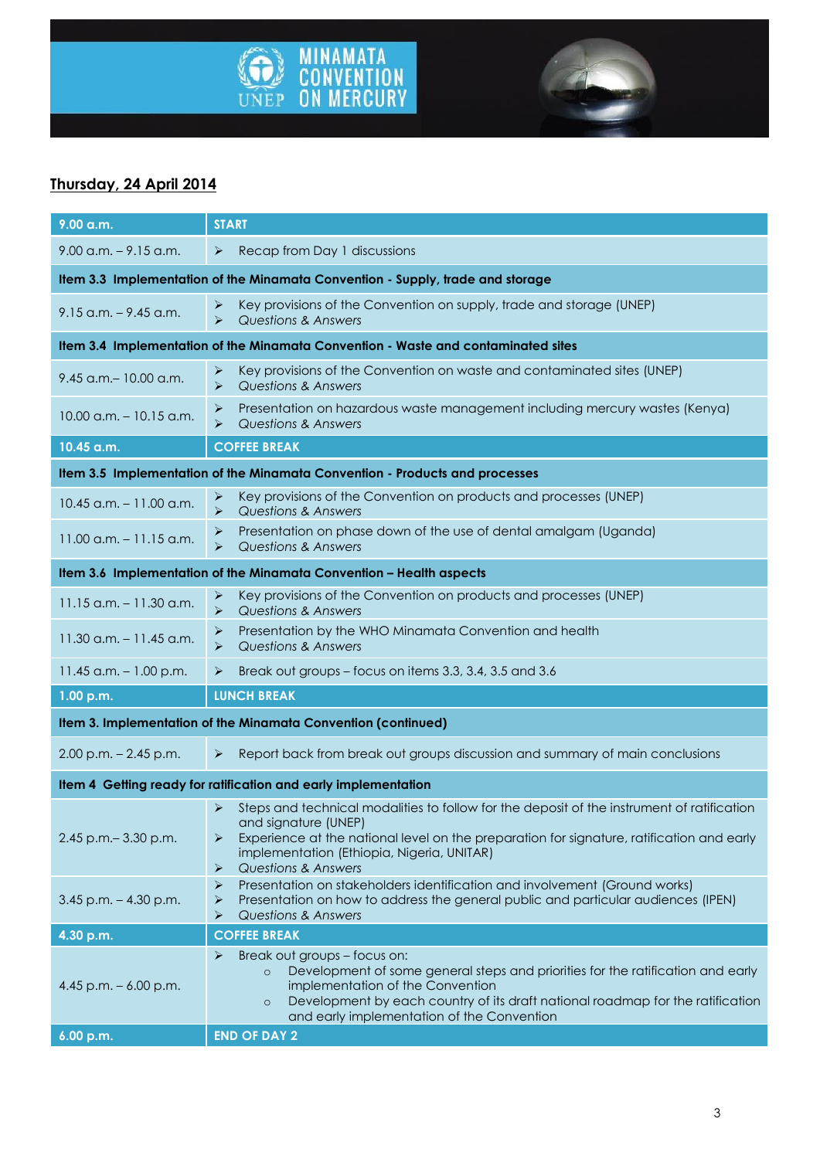



# **Thursday, 24 April 2014**

| 9.00 a.m.                                                                      | <b>START</b>                                                                                                                                                                                                                                                                                                   |  |
|--------------------------------------------------------------------------------|----------------------------------------------------------------------------------------------------------------------------------------------------------------------------------------------------------------------------------------------------------------------------------------------------------------|--|
| $9.00$ a.m. $-9.15$ a.m.                                                       | $\blacktriangleright$<br>Recap from Day 1 discussions                                                                                                                                                                                                                                                          |  |
| Item 3.3 Implementation of the Minamata Convention - Supply, trade and storage |                                                                                                                                                                                                                                                                                                                |  |
| $9.15$ a.m. $-9.45$ a.m.                                                       | Key provisions of the Convention on supply, trade and storage (UNEP)<br>➤<br>$\blacktriangle$<br><b>Questions &amp; Answers</b>                                                                                                                                                                                |  |
|                                                                                | Item 3.4 Implementation of the Minamata Convention - Waste and contaminated sites                                                                                                                                                                                                                              |  |
| 9.45 a.m. - 10.00 a.m.                                                         | Key provisions of the Convention on waste and contaminated sites (UNEP)<br>⋗<br>$\blacktriangleright$<br><b>Questions &amp; Answers</b>                                                                                                                                                                        |  |
| $10.00$ a.m. $-10.15$ a.m.                                                     | Presentation on hazardous waste management including mercury wastes (Kenya)<br>➤<br>Questions & Answers<br>⋗                                                                                                                                                                                                   |  |
| 10.45 a.m.                                                                     | <b>COFFEE BREAK</b>                                                                                                                                                                                                                                                                                            |  |
| Item 3.5 Implementation of the Minamata Convention - Products and processes    |                                                                                                                                                                                                                                                                                                                |  |
| $10.45$ a.m. $- 11.00$ a.m.                                                    | Key provisions of the Convention on products and processes (UNEP)<br>⋗<br>$\blacktriangleright$<br><b>Questions &amp; Answers</b>                                                                                                                                                                              |  |
| $11.00$ a.m. $-11.15$ a.m.                                                     | Presentation on phase down of the use of dental amalgam (Uganda)<br>➤<br><b>Questions &amp; Answers</b>                                                                                                                                                                                                        |  |
| Item 3.6 Implementation of the Minamata Convention - Health aspects            |                                                                                                                                                                                                                                                                                                                |  |
| $11.15$ a.m. $-11.30$ a.m.                                                     | Key provisions of the Convention on products and processes (UNEP)<br>⋗<br><b>Questions &amp; Answers</b><br>$\blacktriangleright$                                                                                                                                                                              |  |
| $11.30$ a.m. $-11.45$ a.m.                                                     | Presentation by the WHO Minamata Convention and health<br>➤<br><b>Questions &amp; Answers</b><br>⋗                                                                                                                                                                                                             |  |
| 11.45 a.m. $-1.00$ p.m.                                                        | Break out groups - focus on items 3.3, 3.4, 3.5 and 3.6<br>➤                                                                                                                                                                                                                                                   |  |
| 1.00 p.m.                                                                      | <b>LUNCH BREAK</b>                                                                                                                                                                                                                                                                                             |  |
| Item 3. Implementation of the Minamata Convention (continued)                  |                                                                                                                                                                                                                                                                                                                |  |
| $2.00$ p.m. $- 2.45$ p.m.                                                      | Report back from break out groups discussion and summary of main conclusions<br>➤                                                                                                                                                                                                                              |  |
| Item 4 Getting ready for ratification and early implementation                 |                                                                                                                                                                                                                                                                                                                |  |
| 2.45 p.m. - 3.30 p.m.                                                          | Steps and technical modalities to follow for the deposit of the instrument of ratification<br>⋗<br>and signature (UNEP)<br>Experience at the national level on the preparation for signature, ratification and early<br>➤<br>implementation (Ethiopia, Nigeria, UNITAR)<br><b>Questions &amp; Answers</b><br>➤ |  |
| $3.45$ p.m. $- 4.30$ p.m.                                                      | ⋗<br>Presentation on stakeholders identification and involvement (Ground works)<br>Presentation on how to address the general public and particular audiences (IPEN)<br>≻<br><b>Questions &amp; Answers</b><br>≻                                                                                               |  |
| 4.30 p.m.                                                                      | <b>COFFEE BREAK</b>                                                                                                                                                                                                                                                                                            |  |
| 4.45 p.m. $-6.00$ p.m.                                                         | Break out groups - focus on:<br>➤<br>Development of some general steps and priorities for the ratification and early<br>$\circ$<br>implementation of the Convention<br>Development by each country of its draft national roadmap for the ratification<br>$\circ$<br>and early implementation of the Convention |  |
| 6.00 p.m.                                                                      | <b>END OF DAY 2</b>                                                                                                                                                                                                                                                                                            |  |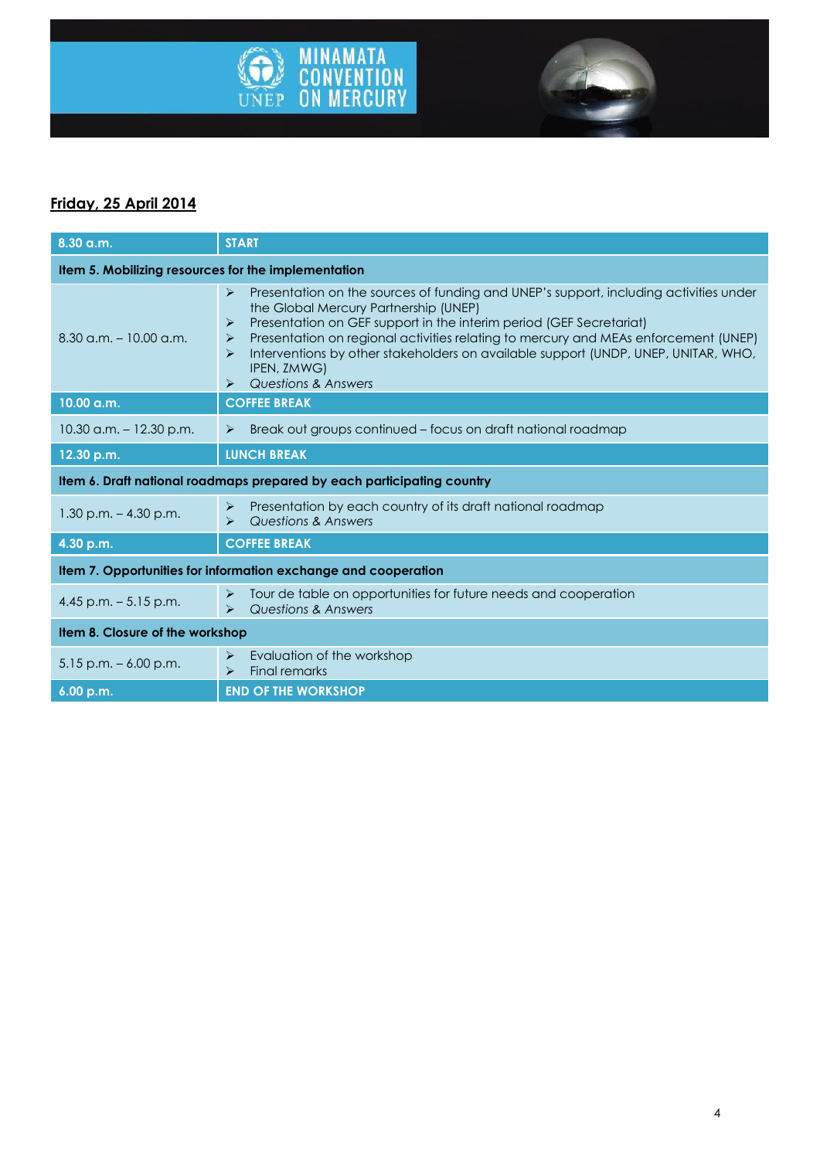

# **Friday, 25 April 2014**

| $8.30$ a.m.                                                            | <b>START</b>                                                                                                                                                                                                                                                                                                                                                                                                                                                                                                             |  |
|------------------------------------------------------------------------|--------------------------------------------------------------------------------------------------------------------------------------------------------------------------------------------------------------------------------------------------------------------------------------------------------------------------------------------------------------------------------------------------------------------------------------------------------------------------------------------------------------------------|--|
| Item 5. Mobilizing resources for the implementation                    |                                                                                                                                                                                                                                                                                                                                                                                                                                                                                                                          |  |
| $8.30$ a.m. $-10.00$ a.m.                                              | Presentation on the sources of funding and UNEP's support, including activities under<br>$\blacktriangleright$<br>the Global Mercury Partnership (UNEP)<br>Presentation on GEF support in the interim period (GEF Secretariat)<br>$\blacktriangleright$<br>Presentation on regional activities relating to mercury and MEAs enforcement (UNEP)<br>➤<br>Interventions by other stakeholders on available support (UNDP, UNEP, UNITAR, WHO,<br>⋗<br>IPEN, ZMWG)<br><b>Questions &amp; Answers</b><br>$\blacktriangleright$ |  |
| $10.00$ a.m.                                                           | <b>COFFEE BREAK</b>                                                                                                                                                                                                                                                                                                                                                                                                                                                                                                      |  |
| $10.30$ a.m. $-12.30$ p.m.                                             | Break out groups continued – focus on draft national roadmap<br>$\blacktriangleright$                                                                                                                                                                                                                                                                                                                                                                                                                                    |  |
| 12.30 p.m.                                                             | <b>LUNCH BREAK</b>                                                                                                                                                                                                                                                                                                                                                                                                                                                                                                       |  |
| Item 6. Draft national roadmaps prepared by each participating country |                                                                                                                                                                                                                                                                                                                                                                                                                                                                                                                          |  |
| $1.30$ p.m. $- 4.30$ p.m.                                              | Presentation by each country of its draft national roadmap<br>$\blacktriangleright$<br>Questions & Answers<br>$\blacktriangleright$                                                                                                                                                                                                                                                                                                                                                                                      |  |
| 4.30 p.m.                                                              | <b>COFFEE BREAK</b>                                                                                                                                                                                                                                                                                                                                                                                                                                                                                                      |  |
| Item 7. Opportunities for information exchange and cooperation         |                                                                                                                                                                                                                                                                                                                                                                                                                                                                                                                          |  |
| 4.45 p.m. $-5.15$ p.m.                                                 | Tour de table on opportunities for future needs and cooperation<br>$\blacktriangleright$<br>Questions & Answers<br>$\blacktriangleright$                                                                                                                                                                                                                                                                                                                                                                                 |  |
| Item 8. Closure of the workshop                                        |                                                                                                                                                                                                                                                                                                                                                                                                                                                                                                                          |  |
| $5.15$ p.m. $-6.00$ p.m.                                               | Evaluation of the workshop<br>➤<br>Final remarks<br>$\blacktriangleright$                                                                                                                                                                                                                                                                                                                                                                                                                                                |  |
| 6.00 p.m.                                                              | <b>END OF THE WORKSHOP</b>                                                                                                                                                                                                                                                                                                                                                                                                                                                                                               |  |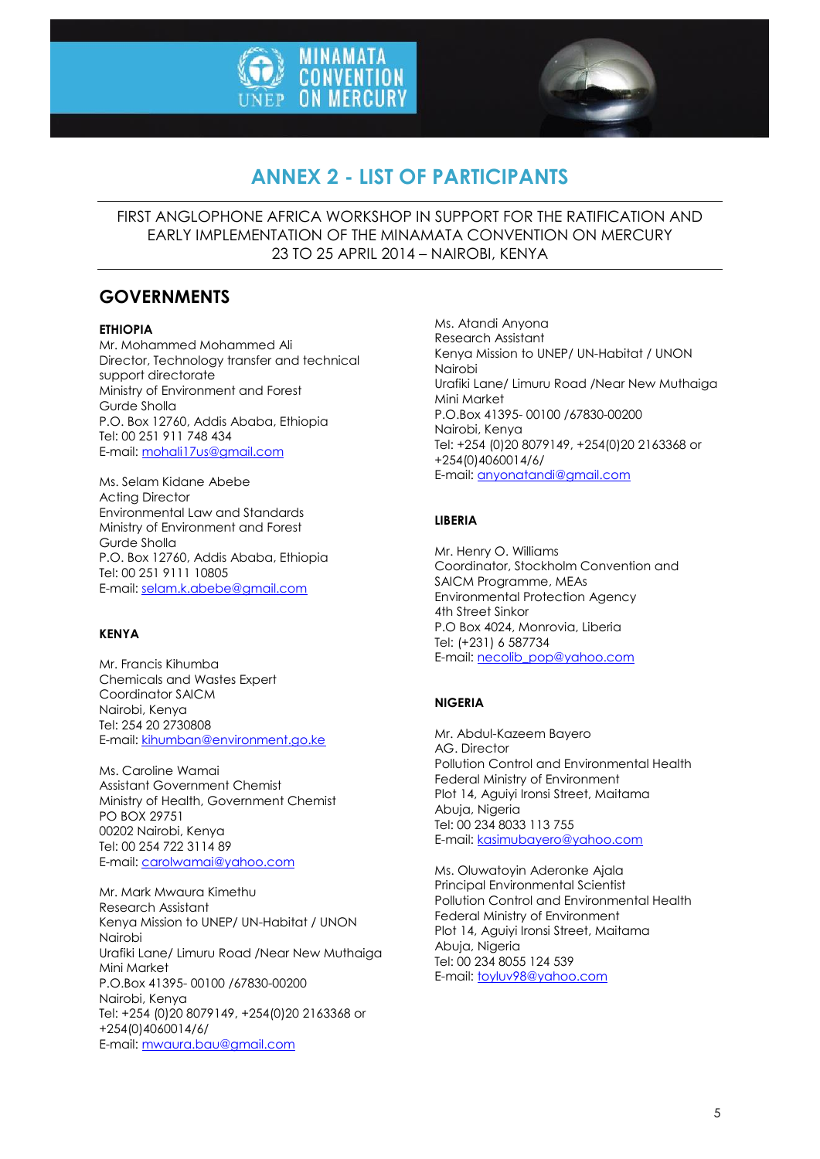



# **ANNEX 2 - LIST OF PARTICIPANTS**

FIRST ANGLOPHONE AFRICA WORKSHOP IN SUPPORT FOR THE RATIFICATION AND EARLY IMPLEMENTATION OF THE MINAMATA CONVENTION ON MERCURY 23 TO 25 APRIL 2014 – NAIROBI, KENYA

## **GOVERNMENTS**

#### **ETHIOPIA**

Mr. Mohammed Mohammed Ali Director, Technology transfer and technical support directorate Ministry of Environment and Forest Gurde Sholla P.O. Box 12760, Addis Ababa, Ethiopia Tel: 00 251 911 748 434 E-mail: [mohali17us@gmail.com](mailto:mohali17us@gmail.com)

Ms. Selam Kidane Abebe Acting Director Environmental Law and Standards Ministry of Environment and Forest Gurde Sholla P.O. Box 12760, Addis Ababa, Ethiopia Tel: 00 251 9111 10805 E-mail: [selam.k.abebe@gmail.com](mailto:selam.k.abebe@gmail.com)

#### **KENYA**

Mr. Francis Kihumba Chemicals and Wastes Expert Coordinator SAICM Nairobi, Kenya Tel: 254 20 2730808 E-mail: [kihumban@environment.go.ke](mailto:kihumban@environment.go.ke)

Ms. Caroline Wamai Assistant Government Chemist Ministry of Health, Government Chemist PO BOX 29751 00202 Nairobi, Kenya Tel: 00 254 722 3114 89 E-mail: [carolwamai@yahoo.com](mailto:carolwamai@yahoo.com)

Mr. Mark Mwaura Kimethu Research Assistant Kenya Mission to UNEP/ UN-Habitat / UNON Nairobi Urafiki Lane/ Limuru Road /Near New Muthaiga Mini Market P.O.Box 41395- 00100 /67830-00200 Nairobi, Kenya Tel: +254 (0)20 8079149, +254(0)20 2163368 or +254(0)4060014/6/ E-mail: [mwaura.bau@gmail.com](mailto:mwaura.bau@gmail.com)

Ms. Atandi Anyona Research Assistant Kenya Mission to UNEP/ UN-Habitat / UNON Nairobi Urafiki Lane/ Limuru Road /Near New Muthaiga Mini Market P.O.Box 41395- 00100 /67830-00200 Nairobi, Kenya Tel: +254 (0)20 8079149, +254(0)20 2163368 or +254(0)4060014/6/ E-mail[: anyonatandi@gmail.com](mailto:anyonatandi@gmail.com)

### **LIBERIA**

Mr. Henry O. Williams Coordinator, Stockholm Convention and SAICM Programme, MEAs Environmental Protection Agency 4th Street Sinkor P.O Box 4024, Monrovia, Liberia Tel: (+231) 6 587734 E-mail[: necolib\\_pop@yahoo.com](mailto:necolib_pop@yahoo.com)

#### **NIGERIA**

Mr. Abdul-Kazeem Bayero AG. Director Pollution Control and Environmental Health Federal Ministry of Environment Plot 14, Aguiyi Ironsi Street, Maitama Abuja, Nigeria Tel: 00 234 8033 113 755 E-mail[: kasimubayero@yahoo.com](mailto:kasimubayero@yahoo.com)

Ms. Oluwatoyin Aderonke Ajala Principal Environmental Scientist Pollution Control and Environmental Health Federal Ministry of Environment Plot 14, Aguiyi Ironsi Street, Maitama Abuja, Nigeria Tel: 00 234 8055 124 539 E-mail[: toyluv98@yahoo.com](mailto:toyluv98@yahoo.com)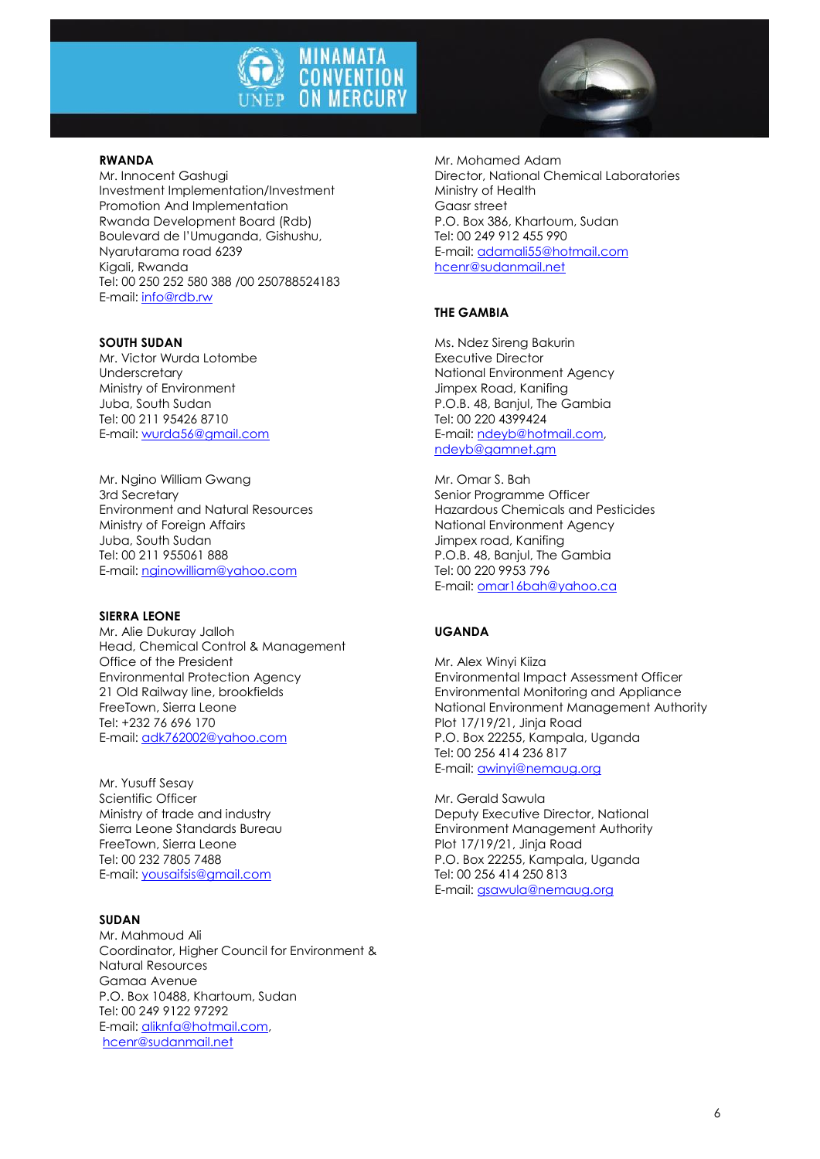



#### **RWANDA**

Mr. Innocent Gashugi Investment Implementation/Investment Promotion And Implementation Rwanda Development Board (Rdb) Boulevard de l'Umuganda, Gishushu, Nyarutarama road 6239 Kigali, Rwanda Tel: 00 250 252 580 388 /00 250788524183 E-mail: [info@rdb.rw](mailto:info@rdb.rw)

#### **SOUTH SUDAN**

Mr. Victor Wurda Lotombe **Underscretary** Ministry of Environment Juba, South Sudan Tel: 00 211 95426 8710 E-mail: [wurda56@gmail.com](mailto:wurda56@gmail.com)

Mr. Ngino William Gwang 3rd Secretary Environment and Natural Resources Ministry of Foreign Affairs Juba, South Sudan Tel: 00 211 955061 888 E-mail: [nginowilliam@yahoo.com](mailto:nginowilliam@yahoo.com)

#### **SIERRA LEONE**

Mr. Alie Dukuray Jalloh Head, Chemical Control & Management Office of the President Environmental Protection Agency 21 Old Railway line, brookfields FreeTown, Sierra Leone Tel: +232 76 696 170 E-mail: [adk762002@yahoo.com](mailto:adk762002@yahoo.com)

Mr. Yusuff Sesay Scientific Officer Ministry of trade and industry Sierra Leone Standards Bureau FreeTown, Sierra Leone Tel: 00 232 7805 7488 E-mail: [yousaifsis@gmail.com](mailto:yousaifsis@gmail.com)

#### **SUDAN**

Mr. Mahmoud Ali Coordinator, Higher Council for Environment & Natural Resources Gamaa Avenue P.O. Box 10488, Khartoum, Sudan Tel: 00 249 9122 97292 E-mail: [aliknfa@hotmail.com,](mailto:aliknfa@hotmail.com) [hcenr@sudanmail.net](mailto:hcenr@sudanmail.net)

Mr. Mohamed Adam Director, National Chemical Laboratories Ministry of Health Gaasr street P.O. Box 386, Khartoum, Sudan Tel: 00 249 912 455 990 E-mail[: adamali55@hotmail.com](mailto:adamali55@hotmail.com) [hcenr@sudanmail.net](mailto:hcenr@sudanmail.net)

#### **THE GAMBIA**

Ms. Ndez Sireng Bakurin Executive Director National Environment Agency Jimpex Road, Kanifing P.O.B. 48, Banjul, The Gambia Tel: 00 220 4399424 E-mail[: ndeyb@hotmail.com,](mailto:ndeyb@hotmail.com) [ndeyb@gamnet.gm](mailto:ndeyb@gamnet.gm)

Mr. Omar S. Bah Senior Programme Officer Hazardous Chemicals and Pesticides National Environment Agency Jimpex road, Kanifing P.O.B. 48, Banjul, The Gambia Tel: 00 220 9953 796 E-mail[: omar16bah@yahoo.ca](mailto:omar16bah@yahoo.ca)

#### **UGANDA**

Mr. Alex Winyi Kiiza Environmental Impact Assessment Officer Environmental Monitoring and Appliance National Environment Management Authority Plot 17/19/21, Jinja Road P.O. Box 22255, Kampala, Uganda Tel: 00 256 414 236 817 E-mail[: awinyi@nemaug.org](mailto:awinyi@nemaug.org)

Mr. Gerald Sawula Deputy Executive Director, National Environment Management Authority Plot 17/19/21, Jinja Road P.O. Box 22255, Kampala, Uganda Tel: 00 256 414 250 813 E-mail[: gsawula@nemaug.org](mailto:gsawula@nemaug.org)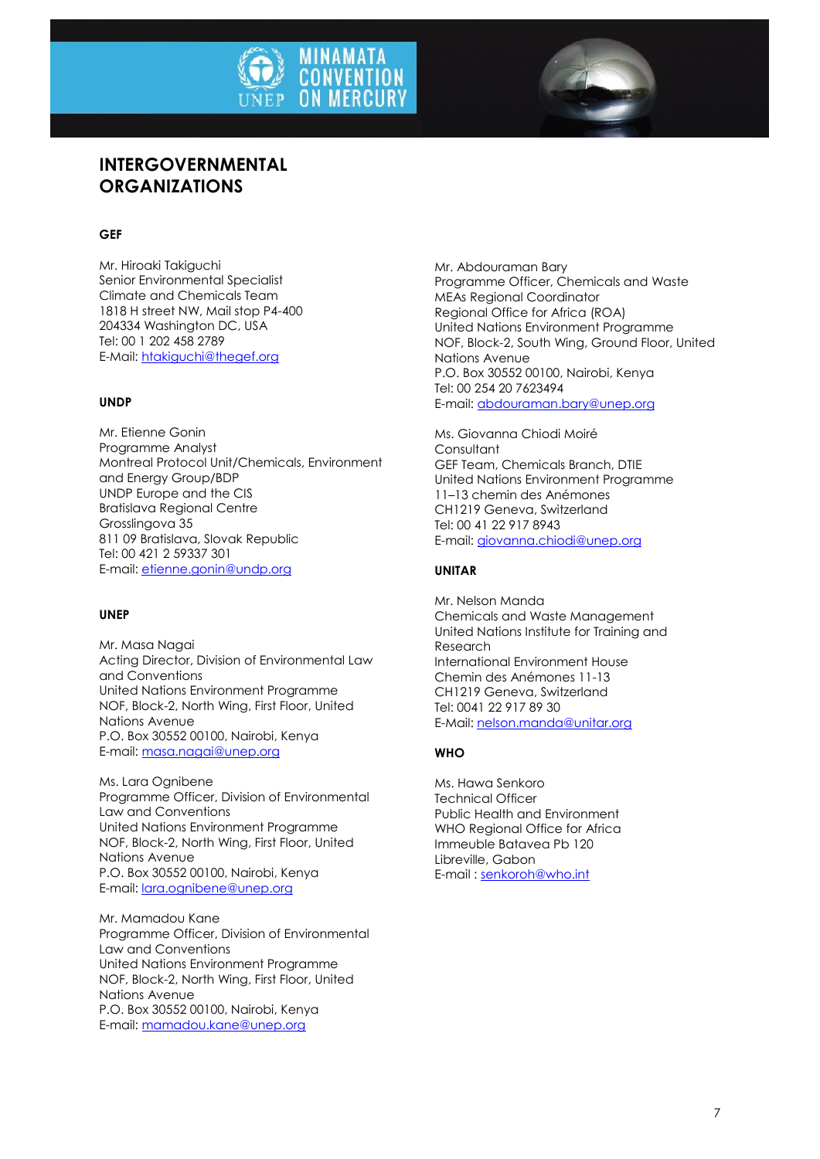



## **INTERGOVERNMENTAL ORGANIZATIONS**

#### **GEF**

Mr. Hiroaki Takiguchi Senior Environmental Specialist Climate and Chemicals Team 1818 H street NW, Mail stop P4-400 204334 Washington DC, USA Tel: 00 1 202 458 2789 E-Mail: [htakiguchi@thegef.org](mailto:htakiguchi@thegef.org)

#### **UNDP**

Mr. Etienne Gonin Programme Analyst Montreal Protocol Unit/Chemicals, Environment and Energy Group/BDP UNDP Europe and the CIS Bratislava Regional Centre Grosslingova 35 811 09 Bratislava, Slovak Republic Tel: 00 421 2 59337 301 E-mail: [etienne.gonin@undp.org](mailto:etienne.gonin@undp.org)

#### **UNEP**

Mr. Masa Nagai Acting Director, Division of Environmental Law and Conventions United Nations Environment Programme NOF, Block-2, North Wing, First Floor, United Nations Avenue P.O. Box 30552 00100, Nairobi, Kenya E-mail: [masa.nagai@unep.org](mailto:masa.nagai@unep.org)

Ms. Lara Ognibene Programme Officer, Division of Environmental Law and Conventions United Nations Environment Programme NOF, Block-2, North Wing, First Floor, United Nations Avenue P.O. Box 30552 00100, Nairobi, Kenya E-mail: [lara.ognibene@unep.org](mailto:lara.ognibene@unep.org)

Mr. Mamadou Kane Programme Officer, Division of Environmental Law and Conventions United Nations Environment Programme NOF, Block-2, North Wing, First Floor, United Nations Avenue P.O. Box 30552 00100, Nairobi, Kenya E-mail: [mamadou.kane@unep.org](mailto:mamadou.kane@unep.org)

Mr. Abdouraman Bary Programme Officer, Chemicals and Waste MEAs Regional Coordinator Regional Office for Africa (ROA) United Nations Environment Programme NOF, Block-2, South Wing, Ground Floor, United Nations Avenue P.O. Box 30552 00100, Nairobi, Kenya Tel: 00 254 20 7623494 E-mail[: abdouraman.bary@unep.org](mailto:abdouraman.bary@unep.org)

Ms. Giovanna Chiodi Moiré Consultant GEF Team, Chemicals Branch, DTIE United Nations Environment Programme 11–13 chemin des Anémones CH1219 Geneva, Switzerland Tel: 00 41 22 917 8943 E-mail[: giovanna.chiodi@unep.org](mailto:giovanna.chiodi@unep.org)

#### **UNITAR**

Mr. Nelson Manda Chemicals and Waste Management United Nations Institute for Training and Research International Environment House Chemin des Anémones 11-13 CH1219 Geneva, Switzerland Tel: 0041 22 917 89 30 E-Mail[: nelson.manda@unitar.org](mailto:nelson.manda@unitar.org)

#### **WHO**

Ms. Hawa Senkoro Technical Officer Public Health and Environment WHO Regional Office for Africa Immeuble Batavea Pb 120 Libreville, Gabon E-mail : [senkoroh@who.int](mailto:senkoroh@who.int)